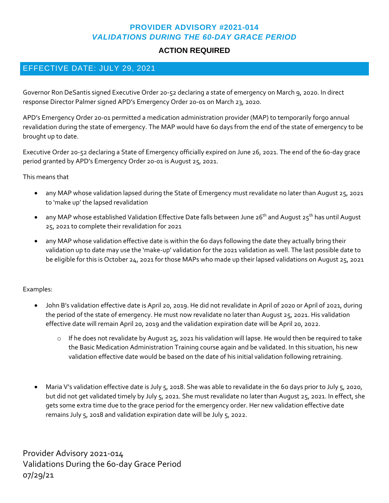### **PROVIDER ADVISORY #2021-014** *VALIDATIONS DURING THE 60-DAY GRACE PERIOD*

# **ACTION REQUIRED**

# EFFECTIVE DATE: JULY 29, 2021

Governor Ron DeSantis signed Executive Order 20-52 declaring a state of emergency on March 9, 2020. In direct response Director Palmer signed APD's Emergency Order 20-01 on March 23, 2020.

APD's Emergency Order 20-01 permitted a medication administration provider (MAP) to temporarily forgo annual revalidation during the state of emergency. The MAP would have 60 days from the end of the state of emergency to be brought up to date.

Executive Order 20-52 declaring a State of Emergency officially expired on June 26, 2021. The end of the 60-day grace period granted by APD's Emergency Order 20-01 is August 25, 2021.

#### This means that

- any MAP whose validation lapsed during the State of Emergency must revalidate no later than August 25, 2021 to 'make up' the lapsed revalidation
- any MAP whose established Validation Effective Date falls between June 26<sup>th</sup> and August 25<sup>th</sup> has until August 25, 2021 to complete their revalidation for 2021
- any MAP whose validation effective date is within the 60 days following the date they actually bring their validation up to date may use the 'make-up' validation for the 2021 validation as well. The last possible date to be eligible for this is October 24, 2021 for those MAPs who made up their lapsed validations on August 25, 2021

#### Examples:

- John B's validation effective date is April 20, 2019. He did not revalidate in April of 2020 or April of 2021, during the period of the state of emergency. He must now revalidate no later than August 25, 2021. His validation effective date will remain April 20, 2019 and the validation expiration date will be April 20, 2022.
	- $\circ$  If he does not revalidate by August 25, 2021 his validation will lapse. He would then be required to take the Basic Medication Administration Training course again and be validated. In this situation, his new validation effective date would be based on the date of his initial validation following retraining.
- Maria V's validation effective date is July 5, 2018. She was able to revalidate in the 60 days prior to July 5, 2020, but did not get validated timely by July 5, 2021. She must revalidate no later than August 25, 2021. In effect, she gets some extra time due to the grace period for the emergency order. Her new validation effective date remains July 5, 2018 and validation expiration date will be July 5, 2022.

Provider Advisory 2021-014 Validations During the 60-day Grace Period 07/29/21